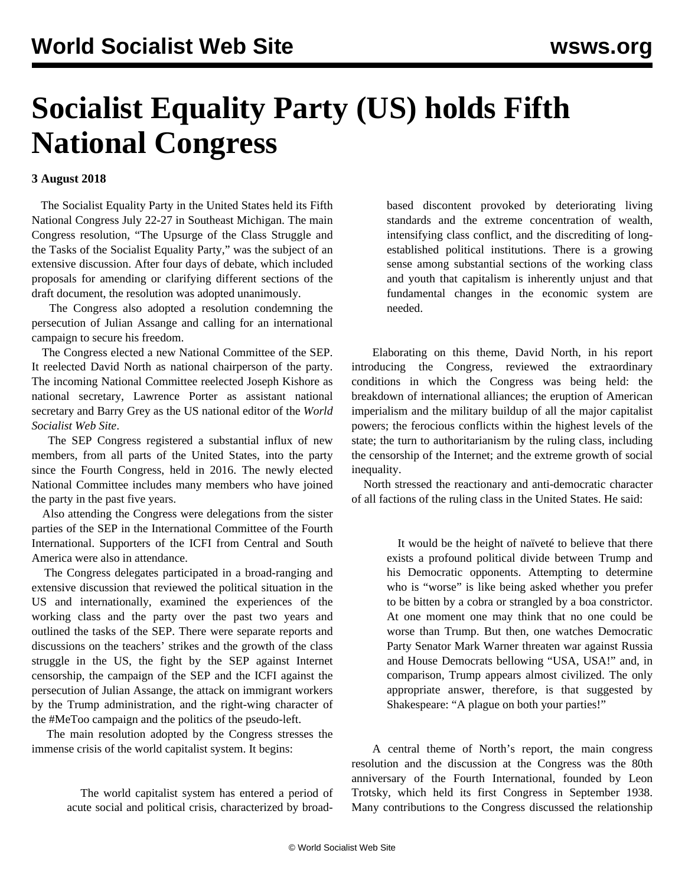## **Socialist Equality Party (US) holds Fifth National Congress**

## **3 August 2018**

 The Socialist Equality Party in the United States held its Fifth National Congress July 22-27 in Southeast Michigan. The main Congress resolution, "The Upsurge of the Class Struggle and the Tasks of the Socialist Equality Party," was the subject of an extensive discussion. After four days of debate, which included proposals for amending or clarifying different sections of the draft document, the resolution was adopted unanimously.

 The Congress also adopted a resolution condemning the persecution of Julian Assange and calling for an international campaign to secure his freedom.

 The Congress elected a new National Committee of the SEP. It reelected David North as national chairperson of the party. The incoming National Committee reelected Joseph Kishore as national secretary, Lawrence Porter as assistant national secretary and Barry Grey as the US national editor of the *World Socialist Web Site*.

 The SEP Congress registered a substantial influx of new members, from all parts of the United States, into the party since the Fourth Congress, held in 2016. The newly elected National Committee includes many members who have joined the party in the past five years.

 Also attending the Congress were delegations from the sister parties of the SEP in the International Committee of the Fourth International. Supporters of the ICFI from Central and South America were also in attendance.

 The Congress delegates participated in a broad-ranging and extensive discussion that reviewed the political situation in the US and internationally, examined the experiences of the working class and the party over the past two years and outlined the tasks of the SEP. There were separate reports and discussions on the teachers' strikes and the growth of the class struggle in the US, the fight by the SEP against Internet censorship, the campaign of the SEP and the ICFI against the persecution of Julian Assange, the attack on immigrant workers by the Trump administration, and the right-wing character of the #MeToo campaign and the politics of the pseudo-left.

 The main resolution adopted by the Congress stresses the immense crisis of the world capitalist system. It begins:

> The world capitalist system has entered a period of acute social and political crisis, characterized by broad

based discontent provoked by deteriorating living standards and the extreme concentration of wealth, intensifying class conflict, and the discrediting of longestablished political institutions. There is a growing sense among substantial sections of the working class and youth that capitalism is inherently unjust and that fundamental changes in the economic system are needed.

 Elaborating on this theme, David North, in his report introducing the Congress, reviewed the extraordinary conditions in which the Congress was being held: the breakdown of international alliances; the eruption of American imperialism and the military buildup of all the major capitalist powers; the ferocious conflicts within the highest levels of the state; the turn to authoritarianism by the ruling class, including the censorship of the Internet; and the extreme growth of social inequality.

 North stressed the reactionary and anti-democratic character of all factions of the ruling class in the United States. He said:

> It would be the height of naïveté to believe that there exists a profound political divide between Trump and his Democratic opponents. Attempting to determine who is "worse" is like being asked whether you prefer to be bitten by a cobra or strangled by a boa constrictor. At one moment one may think that no one could be worse than Trump. But then, one watches Democratic Party Senator Mark Warner threaten war against Russia and House Democrats bellowing "USA, USA!" and, in comparison, Trump appears almost civilized. The only appropriate answer, therefore, is that suggested by Shakespeare: "A plague on both your parties!"

 A central theme of North's report, the main congress resolution and the discussion at the Congress was the 80th anniversary of the Fourth International, founded by Leon Trotsky, which held its first Congress in September 1938. Many contributions to the Congress discussed the relationship